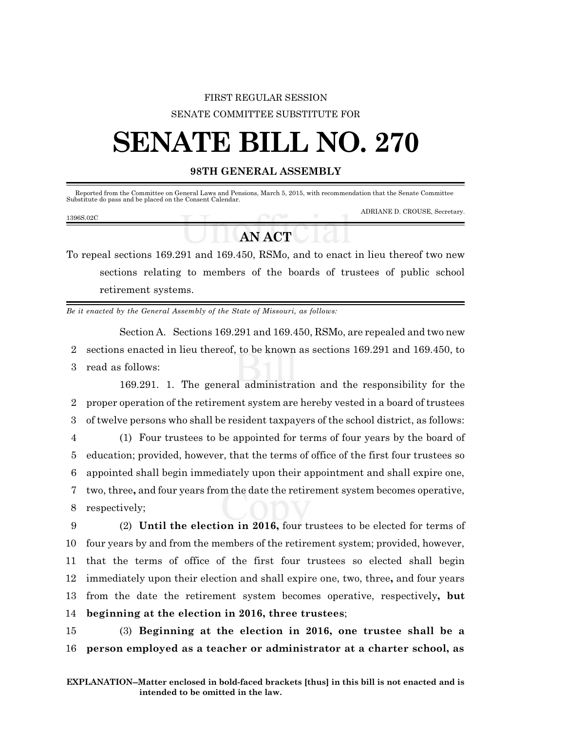## FIRST REGULAR SESSION SENATE COMMITTEE SUBSTITUTE FOR

## **SENATE BILL NO. 270**

## **98TH GENERAL ASSEMBLY**

|           |        | Reported from the Committee on General Laws and Pensions, March 5, 2015, with recommendation that the Senate Committee<br>Substitute do pass and be placed on the Consent Calendar. |
|-----------|--------|-------------------------------------------------------------------------------------------------------------------------------------------------------------------------------------|
| 1396S.02C |        | ADRIANE D. CROUSE, Secretary.                                                                                                                                                       |
|           | AN ACT |                                                                                                                                                                                     |

To repeal sections 169.291 and 169.450, RSMo, and to enact in lieu thereof two new sections relating to members of the boards of trustees of public school retirement systems.

*Be it enacted by the General Assembly of the State of Missouri, as follows:*

Section A. Sections 169.291 and 169.450, RSMo, are repealed and two new 2 sections enacted in lieu thereof, to be known as sections 169.291 and 169.450, to 3 read as follows:

169.291. 1. The general administration and the responsibility for the proper operation of the retirement system are hereby vested in a board of trustees of twelve persons who shall be resident taxpayers of the school district, as follows: (1) Four trustees to be appointed for terms of four years by the board of education; provided, however, that the terms of office of the first four trustees so appointed shall begin immediately upon their appointment and shall expire one, two, three**,** and four years from the date the retirement system becomes operative, respectively;

 (2) **Until the election in 2016,** four trustees to be elected for terms of four years by and from the members of the retirement system; provided, however, that the terms of office of the first four trustees so elected shall begin immediately upon their election and shall expire one, two, three**,** and four years from the date the retirement system becomes operative, respectively**, but beginning at the election in 2016, three trustees**;

15 (3) **Beginning at the election in 2016, one trustee shall be a** 16 **person employed as a teacher or administrator at a charter school, as**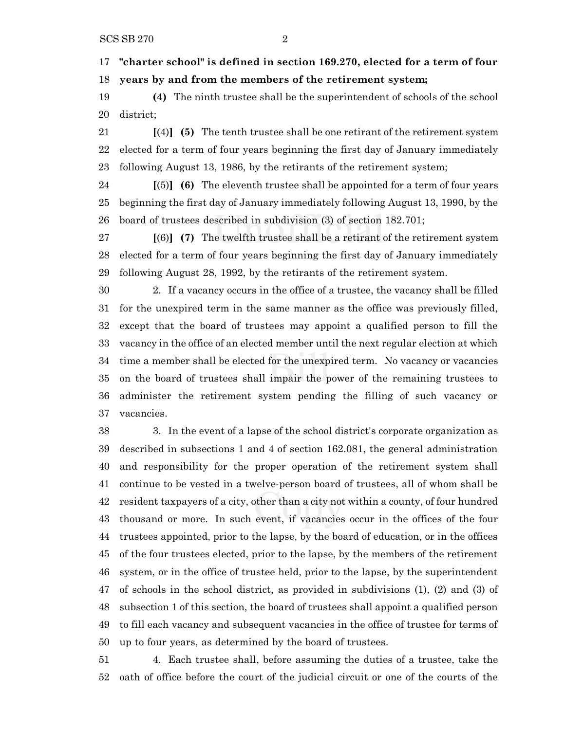**"charter school" is defined in section 169.270, elected for a term of four years by and from the members of the retirement system;**

 **(4)** The ninth trustee shall be the superintendent of schools of the school district;

 **[**(4)**] (5)** The tenth trustee shall be one retirant of the retirement system elected for a term of four years beginning the first day of January immediately following August 13, 1986, by the retirants of the retirement system;

 **[**(5)**] (6)** The eleventh trustee shall be appointed for a term of four years beginning the first day of January immediately following August 13, 1990, by the board of trustees described in subdivision (3) of section 182.701;

 **[**(6)**] (7)** The twelfth trustee shall be a retirant of the retirement system elected for a term of four years beginning the first day of January immediately following August 28, 1992, by the retirants of the retirement system.

 2. If a vacancy occurs in the office of a trustee, the vacancy shall be filled for the unexpired term in the same manner as the office was previously filled, except that the board of trustees may appoint a qualified person to fill the vacancy in the office of an elected member until the next regular election at which time a member shall be elected for the unexpired term. No vacancy or vacancies on the board of trustees shall impair the power of the remaining trustees to administer the retirement system pending the filling of such vacancy or vacancies.

 3. In the event of a lapse of the school district's corporate organization as described in subsections 1 and 4 of section 162.081, the general administration and responsibility for the proper operation of the retirement system shall continue to be vested in a twelve-person board of trustees, all of whom shall be resident taxpayers of a city, other than a city not within a county, of four hundred thousand or more. In such event, if vacancies occur in the offices of the four trustees appointed, prior to the lapse, by the board of education, or in the offices of the four trustees elected, prior to the lapse, by the members of the retirement system, or in the office of trustee held, prior to the lapse, by the superintendent of schools in the school district, as provided in subdivisions (1), (2) and (3) of subsection 1 of this section, the board of trustees shall appoint a qualified person to fill each vacancy and subsequent vacancies in the office of trustee for terms of up to four years, as determined by the board of trustees.

 4. Each trustee shall, before assuming the duties of a trustee, take the oath of office before the court of the judicial circuit or one of the courts of the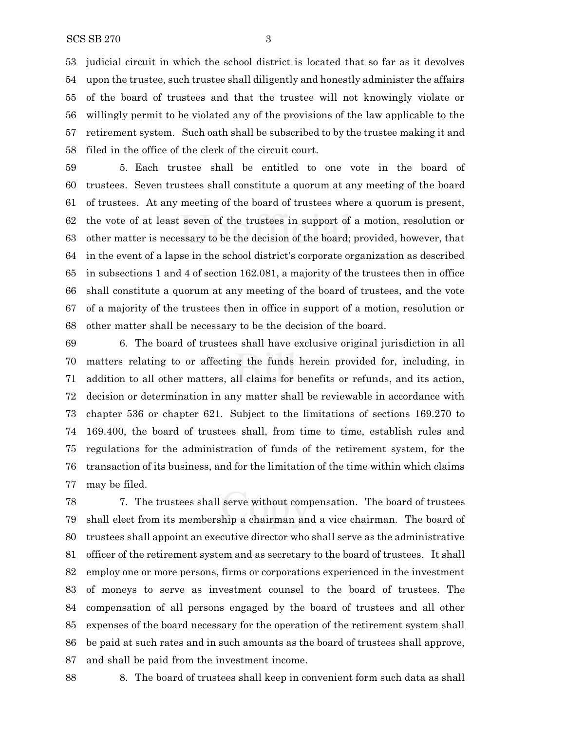judicial circuit in which the school district is located that so far as it devolves upon the trustee, such trustee shall diligently and honestly administer the affairs of the board of trustees and that the trustee will not knowingly violate or willingly permit to be violated any of the provisions of the law applicable to the retirement system. Such oath shall be subscribed to by the trustee making it and filed in the office of the clerk of the circuit court.

 5. Each trustee shall be entitled to one vote in the board of trustees. Seven trustees shall constitute a quorum at any meeting of the board of trustees. At any meeting of the board of trustees where a quorum is present, the vote of at least seven of the trustees in support of a motion, resolution or other matter is necessary to be the decision of the board; provided, however, that in the event of a lapse in the school district's corporate organization as described in subsections 1 and 4 of section 162.081, a majority of the trustees then in office shall constitute a quorum at any meeting of the board of trustees, and the vote of a majority of the trustees then in office in support of a motion, resolution or other matter shall be necessary to be the decision of the board.

 6. The board of trustees shall have exclusive original jurisdiction in all matters relating to or affecting the funds herein provided for, including, in addition to all other matters, all claims for benefits or refunds, and its action, decision or determination in any matter shall be reviewable in accordance with chapter 536 or chapter 621. Subject to the limitations of sections 169.270 to 169.400, the board of trustees shall, from time to time, establish rules and regulations for the administration of funds of the retirement system, for the transaction of its business, and for the limitation of the time within which claims may be filed.

 7. The trustees shall serve without compensation. The board of trustees shall elect from its membership a chairman and a vice chairman. The board of trustees shall appoint an executive director who shall serve as the administrative officer of the retirement system and as secretary to the board of trustees. It shall employ one or more persons, firms or corporations experienced in the investment of moneys to serve as investment counsel to the board of trustees. The compensation of all persons engaged by the board of trustees and all other expenses of the board necessary for the operation of the retirement system shall be paid at such rates and in such amounts as the board of trustees shall approve, and shall be paid from the investment income.

8. The board of trustees shall keep in convenient form such data as shall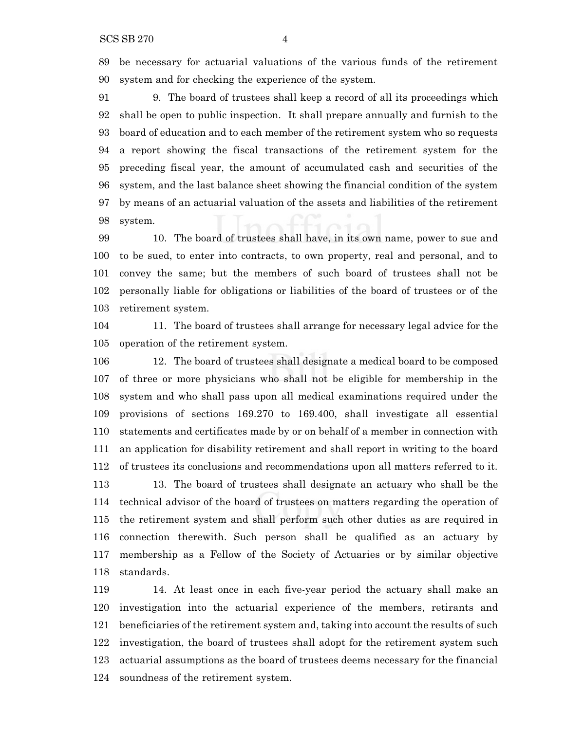be necessary for actuarial valuations of the various funds of the retirement system and for checking the experience of the system.

 9. The board of trustees shall keep a record of all its proceedings which shall be open to public inspection. It shall prepare annually and furnish to the board of education and to each member of the retirement system who so requests a report showing the fiscal transactions of the retirement system for the preceding fiscal year, the amount of accumulated cash and securities of the system, and the last balance sheet showing the financial condition of the system by means of an actuarial valuation of the assets and liabilities of the retirement system.

 10. The board of trustees shall have, in its own name, power to sue and to be sued, to enter into contracts, to own property, real and personal, and to convey the same; but the members of such board of trustees shall not be personally liable for obligations or liabilities of the board of trustees or of the retirement system.

 11. The board of trustees shall arrange for necessary legal advice for the operation of the retirement system.

 12. The board of trustees shall designate a medical board to be composed of three or more physicians who shall not be eligible for membership in the system and who shall pass upon all medical examinations required under the provisions of sections 169.270 to 169.400, shall investigate all essential statements and certificates made by or on behalf of a member in connection with an application for disability retirement and shall report in writing to the board of trustees its conclusions and recommendations upon all matters referred to it. 13. The board of trustees shall designate an actuary who shall be the technical advisor of the board of trustees on matters regarding the operation of the retirement system and shall perform such other duties as are required in connection therewith. Such person shall be qualified as an actuary by membership as a Fellow of the Society of Actuaries or by similar objective standards.

 14. At least once in each five-year period the actuary shall make an investigation into the actuarial experience of the members, retirants and beneficiaries of the retirement system and, taking into account the results of such investigation, the board of trustees shall adopt for the retirement system such actuarial assumptions as the board of trustees deems necessary for the financial soundness of the retirement system.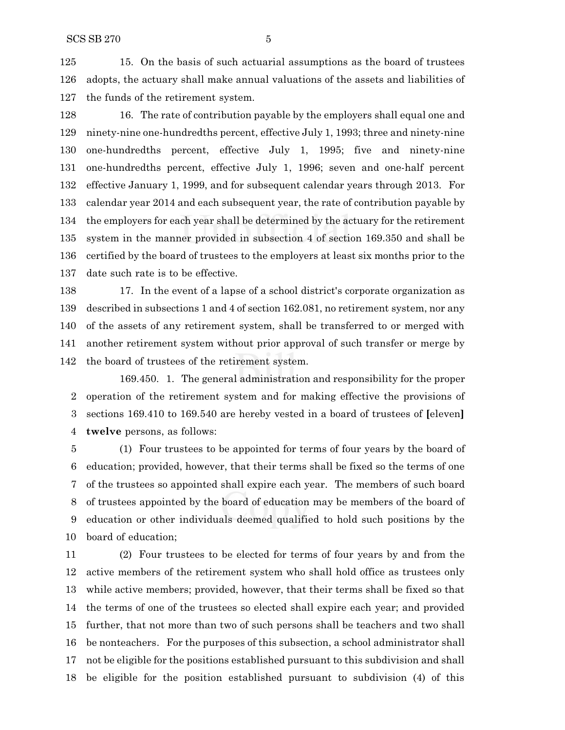15. On the basis of such actuarial assumptions as the board of trustees adopts, the actuary shall make annual valuations of the assets and liabilities of the funds of the retirement system.

 16. The rate of contribution payable by the employers shall equal one and ninety-nine one-hundredths percent, effective July 1, 1993; three and ninety-nine one-hundredths percent, effective July 1, 1995; five and ninety-nine one-hundredths percent, effective July 1, 1996; seven and one-half percent effective January 1, 1999, and for subsequent calendar years through 2013. For calendar year 2014 and each subsequent year, the rate of contribution payable by the employers for each year shall be determined by the actuary for the retirement system in the manner provided in subsection 4 of section 169.350 and shall be certified by the board of trustees to the employers at least six months prior to the date such rate is to be effective.

 17. In the event of a lapse of a school district's corporate organization as described in subsections 1 and 4 of section 162.081, no retirement system, nor any of the assets of any retirement system, shall be transferred to or merged with another retirement system without prior approval of such transfer or merge by the board of trustees of the retirement system.

169.450. 1. The general administration and responsibility for the proper operation of the retirement system and for making effective the provisions of sections 169.410 to 169.540 are hereby vested in a board of trustees of **[**eleven**] twelve** persons, as follows:

 (1) Four trustees to be appointed for terms of four years by the board of education; provided, however, that their terms shall be fixed so the terms of one of the trustees so appointed shall expire each year. The members of such board of trustees appointed by the board of education may be members of the board of education or other individuals deemed qualified to hold such positions by the board of education;

 (2) Four trustees to be elected for terms of four years by and from the active members of the retirement system who shall hold office as trustees only while active members; provided, however, that their terms shall be fixed so that the terms of one of the trustees so elected shall expire each year; and provided further, that not more than two of such persons shall be teachers and two shall be nonteachers. For the purposes of this subsection, a school administrator shall not be eligible for the positions established pursuant to this subdivision and shall be eligible for the position established pursuant to subdivision (4) of this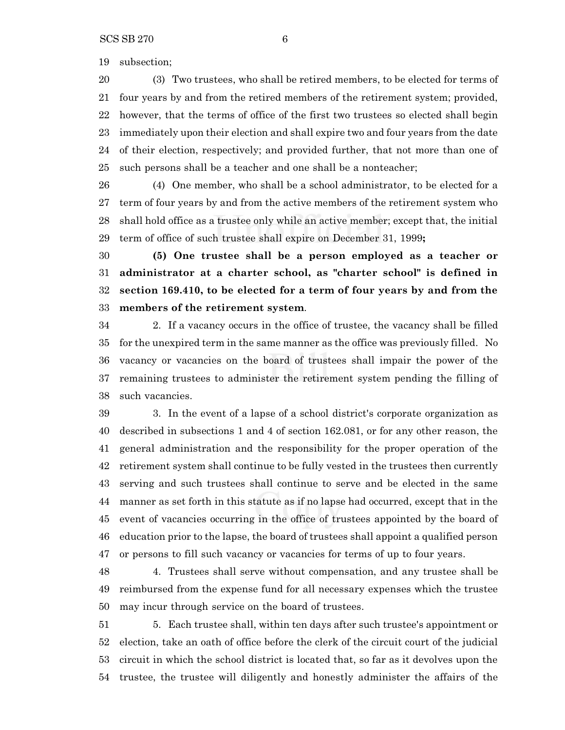subsection;

 (3) Two trustees, who shall be retired members, to be elected for terms of four years by and from the retired members of the retirement system; provided, however, that the terms of office of the first two trustees so elected shall begin immediately upon their election and shall expire two and four years from the date of their election, respectively; and provided further, that not more than one of such persons shall be a teacher and one shall be a nonteacher;

 (4) One member, who shall be a school administrator, to be elected for a term of four years by and from the active members of the retirement system who shall hold office as a trustee only while an active member; except that, the initial term of office of such trustee shall expire on December 31, 1999**;**

 **(5) One trustee shall be a person employed as a teacher or administrator at a charter school, as "charter school" is defined in section 169.410, to be elected for a term of four years by and from the members of the retirement system**.

 2. If a vacancy occurs in the office of trustee, the vacancy shall be filled for the unexpired term in the same manner as the office was previously filled. No vacancy or vacancies on the board of trustees shall impair the power of the remaining trustees to administer the retirement system pending the filling of such vacancies.

 3. In the event of a lapse of a school district's corporate organization as described in subsections 1 and 4 of section 162.081, or for any other reason, the general administration and the responsibility for the proper operation of the retirement system shall continue to be fully vested in the trustees then currently serving and such trustees shall continue to serve and be elected in the same manner as set forth in this statute as if no lapse had occurred, except that in the event of vacancies occurring in the office of trustees appointed by the board of education prior to the lapse, the board of trustees shall appoint a qualified person or persons to fill such vacancy or vacancies for terms of up to four years.

 4. Trustees shall serve without compensation, and any trustee shall be reimbursed from the expense fund for all necessary expenses which the trustee may incur through service on the board of trustees.

 5. Each trustee shall, within ten days after such trustee's appointment or election, take an oath of office before the clerk of the circuit court of the judicial circuit in which the school district is located that, so far as it devolves upon the trustee, the trustee will diligently and honestly administer the affairs of the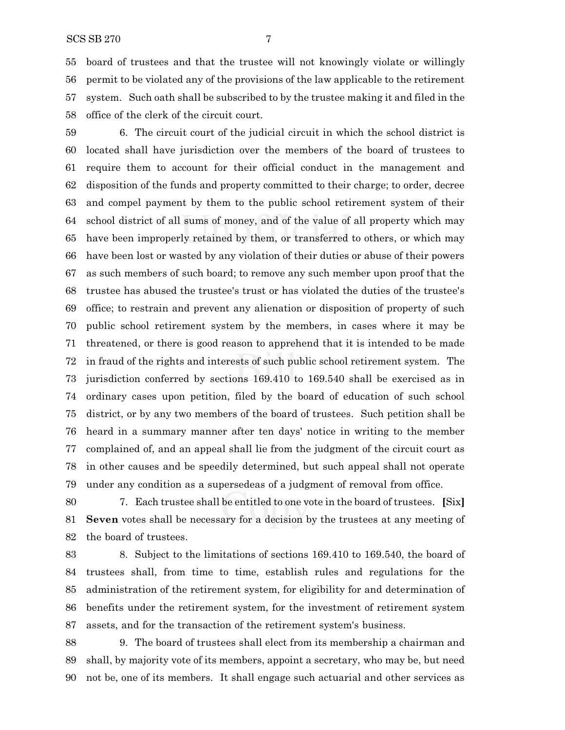board of trustees and that the trustee will not knowingly violate or willingly permit to be violated any of the provisions of the law applicable to the retirement system. Such oath shall be subscribed to by the trustee making it and filed in the office of the clerk of the circuit court.

 6. The circuit court of the judicial circuit in which the school district is located shall have jurisdiction over the members of the board of trustees to require them to account for their official conduct in the management and disposition of the funds and property committed to their charge; to order, decree and compel payment by them to the public school retirement system of their school district of all sums of money, and of the value of all property which may have been improperly retained by them, or transferred to others, or which may have been lost or wasted by any violation of their duties or abuse of their powers as such members of such board; to remove any such member upon proof that the trustee has abused the trustee's trust or has violated the duties of the trustee's office; to restrain and prevent any alienation or disposition of property of such public school retirement system by the members, in cases where it may be threatened, or there is good reason to apprehend that it is intended to be made in fraud of the rights and interests of such public school retirement system. The jurisdiction conferred by sections 169.410 to 169.540 shall be exercised as in ordinary cases upon petition, filed by the board of education of such school district, or by any two members of the board of trustees. Such petition shall be heard in a summary manner after ten days' notice in writing to the member complained of, and an appeal shall lie from the judgment of the circuit court as in other causes and be speedily determined, but such appeal shall not operate under any condition as a supersedeas of a judgment of removal from office.

 7. Each trustee shall be entitled to one vote in the board of trustees. **[**Six**] Seven** votes shall be necessary for a decision by the trustees at any meeting of the board of trustees.

 8. Subject to the limitations of sections 169.410 to 169.540, the board of trustees shall, from time to time, establish rules and regulations for the administration of the retirement system, for eligibility for and determination of benefits under the retirement system, for the investment of retirement system assets, and for the transaction of the retirement system's business.

 9. The board of trustees shall elect from its membership a chairman and shall, by majority vote of its members, appoint a secretary, who may be, but need not be, one of its members. It shall engage such actuarial and other services as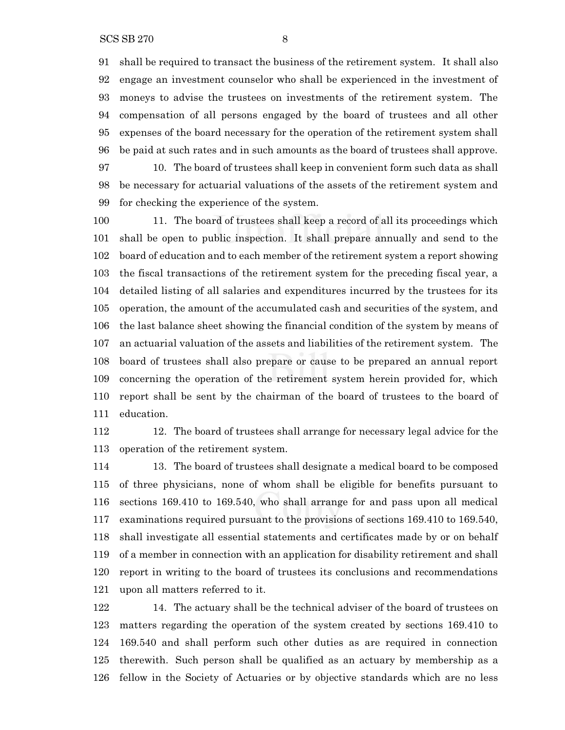shall be required to transact the business of the retirement system. It shall also engage an investment counselor who shall be experienced in the investment of moneys to advise the trustees on investments of the retirement system. The compensation of all persons engaged by the board of trustees and all other expenses of the board necessary for the operation of the retirement system shall be paid at such rates and in such amounts as the board of trustees shall approve. 10. The board of trustees shall keep in convenient form such data as shall be necessary for actuarial valuations of the assets of the retirement system and

for checking the experience of the system.

 11. The board of trustees shall keep a record of all its proceedings which shall be open to public inspection. It shall prepare annually and send to the board of education and to each member of the retirement system a report showing the fiscal transactions of the retirement system for the preceding fiscal year, a detailed listing of all salaries and expenditures incurred by the trustees for its operation, the amount of the accumulated cash and securities of the system, and the last balance sheet showing the financial condition of the system by means of an actuarial valuation of the assets and liabilities of the retirement system. The board of trustees shall also prepare or cause to be prepared an annual report concerning the operation of the retirement system herein provided for, which report shall be sent by the chairman of the board of trustees to the board of education.

 12. The board of trustees shall arrange for necessary legal advice for the operation of the retirement system.

 13. The board of trustees shall designate a medical board to be composed of three physicians, none of whom shall be eligible for benefits pursuant to sections 169.410 to 169.540, who shall arrange for and pass upon all medical examinations required pursuant to the provisions of sections 169.410 to 169.540, shall investigate all essential statements and certificates made by or on behalf of a member in connection with an application for disability retirement and shall report in writing to the board of trustees its conclusions and recommendations upon all matters referred to it.

 14. The actuary shall be the technical adviser of the board of trustees on matters regarding the operation of the system created by sections 169.410 to 169.540 and shall perform such other duties as are required in connection therewith. Such person shall be qualified as an actuary by membership as a fellow in the Society of Actuaries or by objective standards which are no less